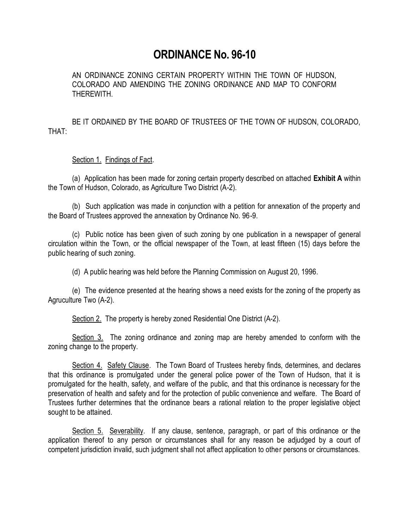## **ORDINANCE No. 96-10**

AN ORDINANCE ZONING CERTAIN PROPERTY WITHIN THE TOWN OF HUDSON, COLORADO AND AMENDING THE ZONING ORDINANCE AND MAP TO CONFORM THEREWITH.

BE IT ORDAINED BY THE BOARD OF TRUSTEES OF THE TOWN OF HUDSON, COLORADO, THAT:

## Section 1. Findings of Fact.

(a) Application has been made for zoning certain property described on attached **Exhibit A** within the Town of Hudson, Colorado, as Agriculture Two District (A-2).

(b) Such application was made in conjunction with a petition for annexation of the property and the Board of Trustees approved the annexation by Ordinance No. 96-9.

(c) Public notice has been given of such zoning by one publication in a newspaper of general circulation within the Town, or the official newspaper of the Town, at least fifteen (15) days before the public hearing of such zoning.

(d) A public hearing was held before the Planning Commission on August 20, 1996.

(e) The evidence presented at the hearing shows a need exists for the zoning of the property as Agruculture Two (A-2).

Section 2. The property is hereby zoned Residential One District (A-2).

Section 3. The zoning ordinance and zoning map are hereby amended to conform with the zoning change to the property.

Section 4. Safety Clause. The Town Board of Trustees hereby finds, determines, and declares that this ordinance is promulgated under the general police power of the Town of Hudson, that it is promulgated for the health, safety, and welfare of the public, and that this ordinance is necessary for the preservation of health and safety and for the protection of public convenience and welfare. The Board of Trustees further determines that the ordinance bears a rational relation to the proper legislative object sought to be attained.

Section 5. Severability. If any clause, sentence, paragraph, or part of this ordinance or the application thereof to any person or circumstances shall for any reason be adjudged by a court of competent jurisdiction invalid, such judgment shall not affect application to other persons or circumstances.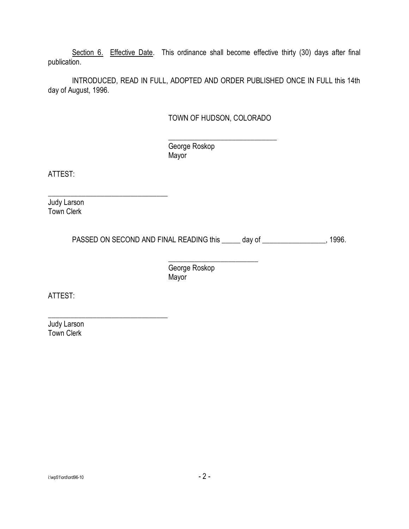Section 6. Effective Date. This ordinance shall become effective thirty (30) days after final publication.

INTRODUCED, READ IN FULL, ADOPTED AND ORDER PUBLISHED ONCE IN FULL this 14th day of August, 1996.

## TOWN OF HUDSON, COLORADO

\_\_\_\_\_\_\_\_\_\_\_\_\_\_\_\_\_\_\_\_\_\_\_\_\_\_\_\_\_ George Roskop Mayor

ATTEST:

Judy Larson Town Clerk

\_\_\_\_\_\_\_\_\_\_\_\_\_\_\_\_\_\_\_\_\_\_\_\_\_\_\_\_\_\_\_\_

\_\_\_\_\_\_\_\_\_\_\_\_\_\_\_\_\_\_\_\_\_\_\_\_\_\_\_\_\_\_\_\_

PASSED ON SECOND AND FINAL READING this \_\_\_\_\_ day of \_\_\_\_\_\_\_\_\_\_\_\_\_\_\_\_, 1996.

\_\_\_\_\_\_\_\_\_\_\_\_\_\_\_\_\_\_\_\_\_\_\_\_ George Roskop Mayor

ATTEST:

Judy Larson Town Clerk